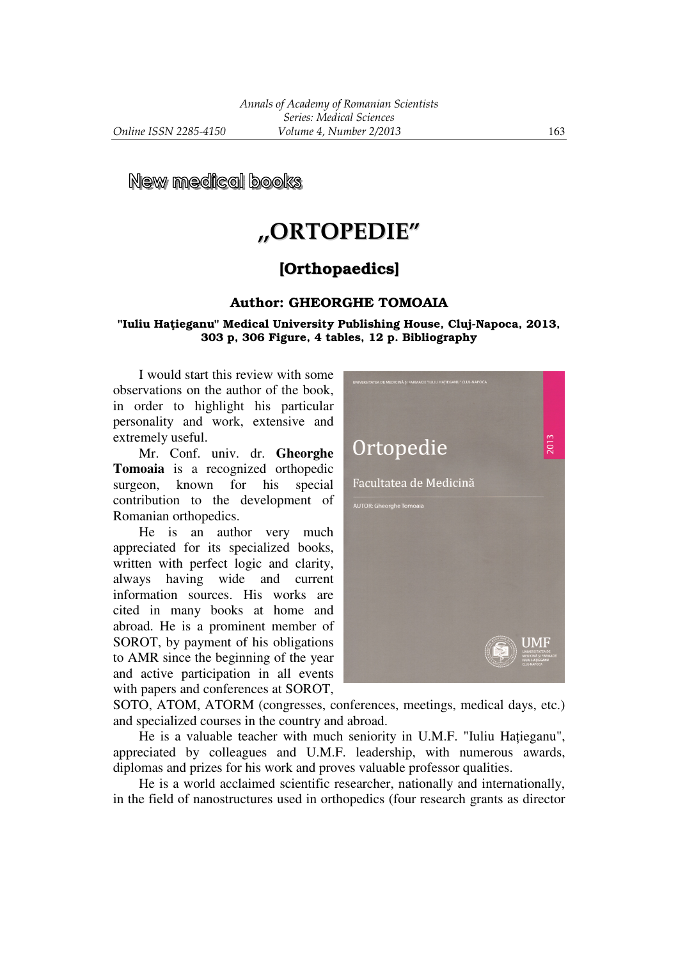**New medical books** 

# **,,ORTOPEDIE"**

# [Orthopaedics]

## Author: GHEORGHE TOMOAIA

#### "Iuliu Hațieganu" Medical University Publishing House, Cluj-Napoca, 2013, 303 p, 306 Figure, 4 tables, 12 p. Bibliography

 I would start this review with some observations on the author of the book, in order to highlight his particular personality and work, extensive and extremely useful.

 Mr. Conf. univ. dr. **Gheorghe Tomoaia** is a recognized orthopedic surgeon, known for his special contribution to the development of Romanian orthopedics.

 He is an author very much appreciated for its specialized books, written with perfect logic and clarity, always having wide and current information sources. His works are cited in many books at home and abroad. He is a prominent member of SOROT, by payment of his obligations to AMR since the beginning of the year and active participation in all events with papers and conferences at SOROT,



SOTO, ATOM, ATORM (congresses, conferences, meetings, medical days, etc.) and specialized courses in the country and abroad.

He is a valuable teacher with much seniority in U.M.F. "Iuliu Hatieganu", appreciated by colleagues and U.M.F. leadership, with numerous awards, diplomas and prizes for his work and proves valuable professor qualities.

 He is a world acclaimed scientific researcher, nationally and internationally, in the field of nanostructures used in orthopedics (four research grants as director